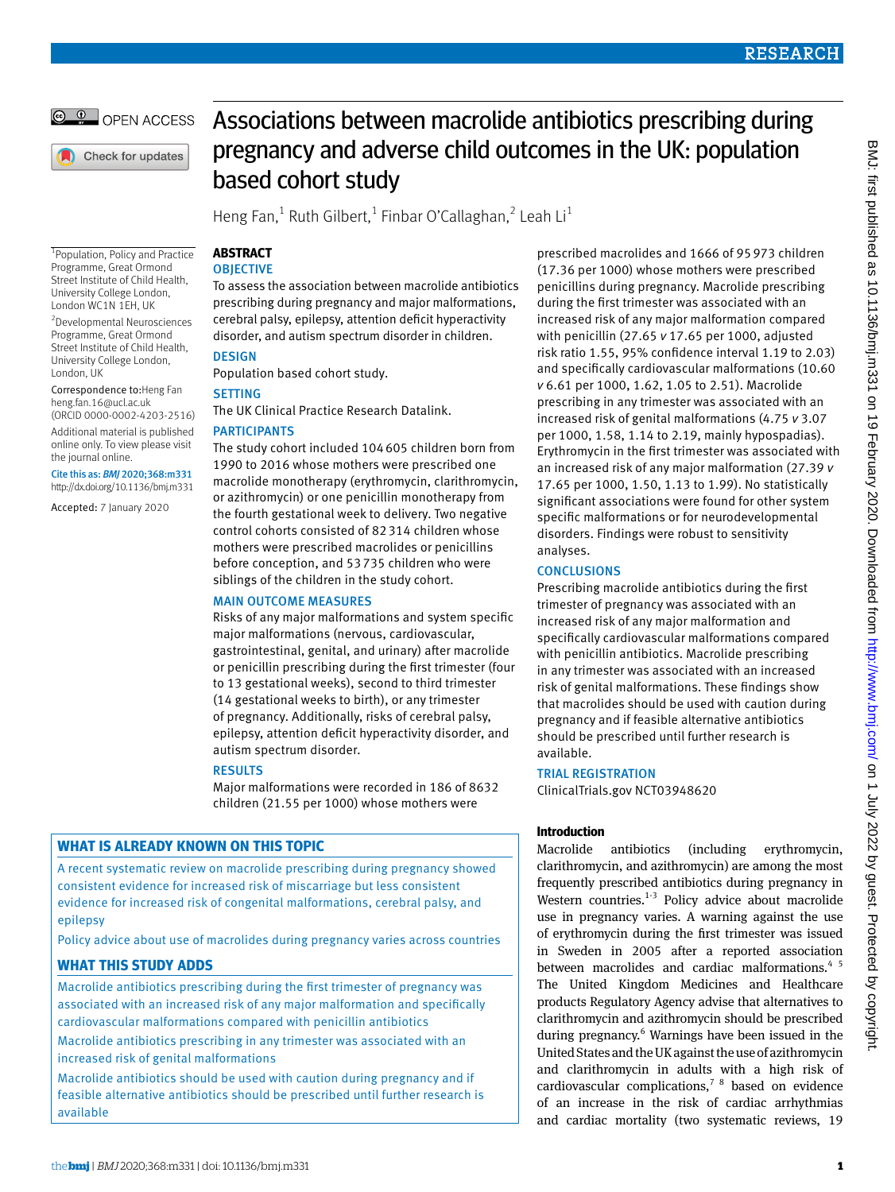

Check for updates

1 Population, Policy and Practice Programme, Great Ormond Street Institute of Child Health, University College London, London WC1N 1EH, UK 2 Developmental Neurosciences Programme, Great Ormond Street Institute of Child Health, University College London,

Correspondence to:Heng Fan [heng.fan.16@ucl.ac.uk](mailto:heng.fan.16@ucl.ac.uk) (ORCID [0000-0002-4203-2516\)](http://orcid.org/0000-0002-4203-2516) Additional material is published online only. To view please visit

Cite this as: *BMJ* 2020;368:m331 http://dx.doi.org/10.1136/bmj.m331 Accepted: 7 January 2020

London, UK

the journal online.

Associations between macrolide antibiotics prescribing during pregnancy and adverse child outcomes in the UK: population based cohort study

Heng Fan,<sup>1</sup> Ruth Gilbert,<sup>1</sup> Finbar O'Callaghan,<sup>2</sup> Leah Li<sup>1</sup>

# **Abstract**

# **OBJECTIVE**

To assess the association between macrolide antibiotics prescribing during pregnancy and major malformations, cerebral palsy, epilepsy, attention deficit hyperactivity disorder, and autism spectrum disorder in children.

## **DESIGN**

Population based cohort study.

## **SETTING**

The UK Clinical Practice Research Datalink.

## **PARTICIPANTS**

The study cohort included 104605 children born from 1990 to 2016 whose mothers were prescribed one macrolide monotherapy (erythromycin, clarithromycin, or azithromycin) or one penicillin monotherapy from the fourth gestational week to delivery. Two negative control cohorts consisted of 82314 children whose mothers were prescribed macrolides or penicillins before conception, and 53735 children who were siblings of the children in the study cohort.

## Main outcome measures

Risks of any major malformations and system specific major malformations (nervous, cardiovascular, gastrointestinal, genital, and urinary) after macrolide or penicillin prescribing during the first trimester (four to 13 gestational weeks), second to third trimester (14 gestational weeks to birth), or any trimester of pregnancy. Additionally, risks of cerebral palsy, epilepsy, attention deficit hyperactivity disorder, and autism spectrum disorder.

## **RESULTS**

Major malformations were recorded in 186 of 8632 children (21.55 per 1000) whose mothers were

# **What is already known on this topic**

A recent systematic review on macrolide prescribing during pregnancy showed consistent evidence for increased risk of miscarriage but less consistent evidence for increased risk of congenital malformations, cerebral palsy, and epilepsy

Policy advice about use of macrolides during pregnancy varies across countries

# **What this study adds**

Macrolide antibiotics prescribing during the first trimester of pregnancy was associated with an increased risk of any major malformation and specifically cardiovascular malformations compared with penicillin antibiotics Macrolide antibiotics prescribing in any trimester was associated with an increased risk of genital malformations

Macrolide antibiotics should be used with caution during pregnancy and if feasible alternative antibiotics should be prescribed until further research is available

prescribed macrolides and 1666 of 95973 children (17.36 per 1000) whose mothers were prescribed penicillins during pregnancy. Macrolide prescribing during the first trimester was associated with an increased risk of any major malformation compared with penicillin (27.65 *v* 17.65 per 1000, adjusted risk ratio 1.55, 95% confidence interval 1.19 to 2.03) and specifically cardiovascular malformations (10.60 *v* 6.61 per 1000, 1.62, 1.05 to 2.51). Macrolide prescribing in any trimester was associated with an increased risk of genital malformations (4.75 *v* 3.07 per 1000, 1.58, 1.14 to 2.19, mainly hypospadias). Erythromycin in the first trimester was associated with an increased risk of any major malformation (27.39 *v* 17.65 per 1000, 1.50, 1.13 to 1.99). No statistically significant associations were found for other system specific malformations or for neurodevelopmental disorders. Findings were robust to sensitivity analyses.

# **CONCLUSIONS**

Prescribing macrolide antibiotics during the first trimester of pregnancy was associated with an increased risk of any major malformation and specifically cardiovascular malformations compared with penicillin antibiotics. Macrolide prescribing in any trimester was associated with an increased risk of genital malformations. These findings show that macrolides should be used with caution during pregnancy and if feasible alternative antibiotics should be prescribed until further research is available.

## Trial registration

ClinicalTrials.gov NCT03948620

## **Introduction**

Macrolide antibiotics (including erythromycin, clarithromycin, and azithromycin) are among the most frequently prescribed antibiotics during pregnancy in Western countries. $1-3$  Policy advice about macrolide use in pregnancy varies. A warning against the use of erythromycin during the first trimester was issued in Sweden in 2005 after a reported association between macrolides and cardiac malformations.<sup>45</sup> The United Kingdom Medicines and Healthcare products Regulatory Agency advise that alternatives to clarithromycin and azithromycin should be prescribed during pregnancy.<sup>6</sup> Warnings have been issued in the United States and the UK against the use of azithromycin and clarithromycin in adults with a high risk of cardiovascular complications,<sup>7</sup>  $8$  based on evidence of an increase in the risk of cardiac arrhythmias and cardiac mortality (two systematic reviews, 19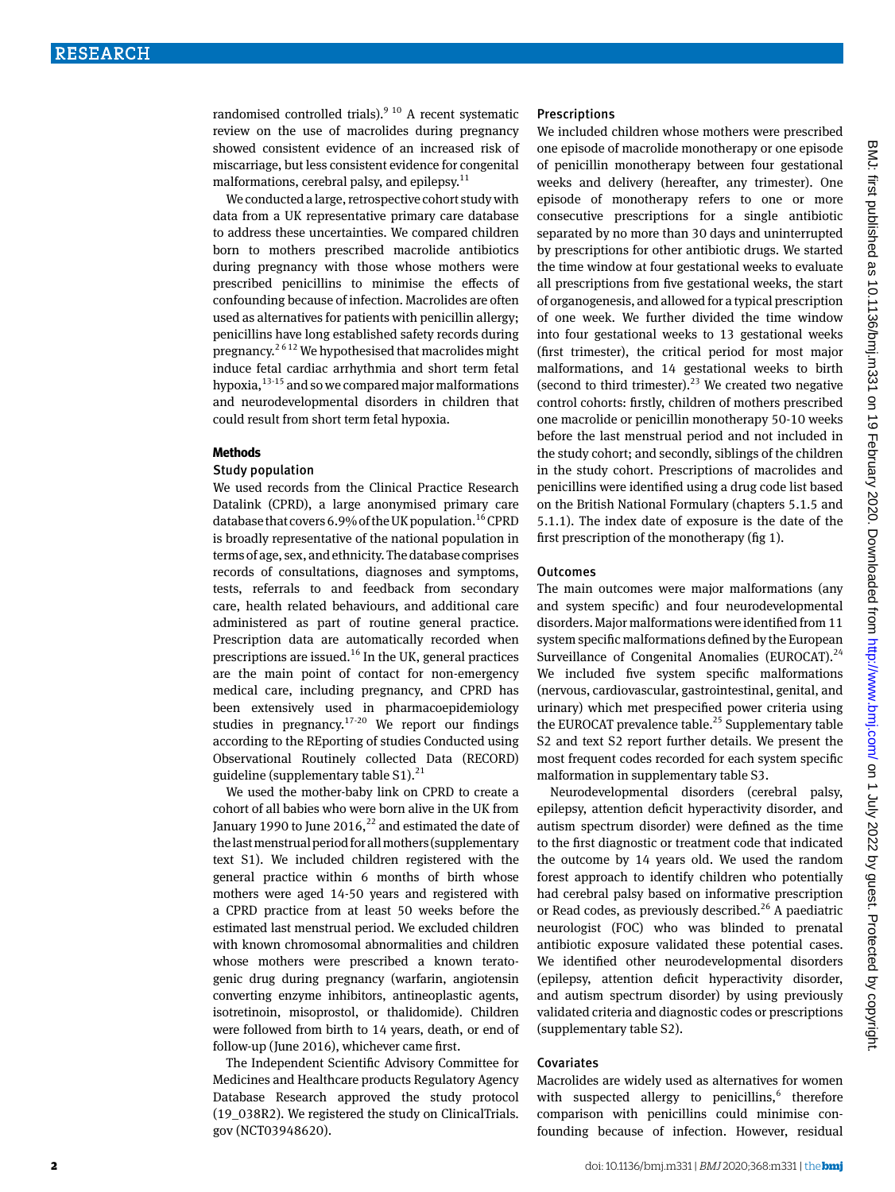randomised controlled trials).<sup>9 10</sup> A recent systematic review on the use of macrolides during pregnancy showed consistent evidence of an increased risk of miscarriage, but less consistent evidence for congenital malformations, cerebral palsy, and epilepsy. $11$ 

We conducted a large, retrospective cohort study with data from a UK representative primary care database to address these uncertainties. We compared children born to mothers prescribed macrolide antibiotics during pregnancy with those whose mothers were prescribed penicillins to minimise the effects of confounding because of infection. Macrolides are often used as alternatives for patients with penicillin allergy; penicillins have long established safety records during pregnancy.2 6 12 We hypothesised that macrolides might induce fetal cardiac arrhythmia and short term fetal hypoxia,13-15 and so we compared major malformations and neurodevelopmental disorders in children that could result from short term fetal hypoxia.

#### **Methods**

#### Study population

We used records from the Clinical Practice Research Datalink (CPRD), a large anonymised primary care database that covers 6.9% of the UK population.<sup>16</sup> CPRD is broadly representative of the national population in terms of age, sex, and ethnicity. The database comprises records of consultations, diagnoses and symptoms, tests, referrals to and feedback from secondary care, health related behaviours, and additional care administered as part of routine general practice. Prescription data are automatically recorded when prescriptions are issued. $16$  In the UK, general practices are the main point of contact for non-emergency medical care, including pregnancy, and CPRD has been extensively used in pharmacoepidemiology studies in pregnancy. $17-20$  We report our findings according to the REporting of studies Conducted using Observational Routinely collected Data (RECORD) guideline (supplementary table  $S1$ ).<sup>21</sup>

We used the mother-baby link on CPRD to create a cohort of all babies who were born alive in the UK from January 1990 to June 2016, $^{22}$  and estimated the date of the last menstrual period for all mothers (supplementary text S1). We included children registered with the general practice within 6 months of birth whose mothers were aged 14-50 years and registered with a CPRD practice from at least 50 weeks before the estimated last menstrual period. We excluded children with known chromosomal abnormalities and children whose mothers were prescribed a known teratogenic drug during pregnancy (warfarin, angiotensin converting enzyme inhibitors, antineoplastic agents, isotretinoin, misoprostol, or thalidomide). Children were followed from birth to 14 years, death, or end of follow-up (June 2016), whichever came first.

The Independent Scientific Advisory Committee for Medicines and Healthcare products Regulatory Agency Database Research approved the study protocol (19\_038R2). We registered the study on ClinicalTrials. gov (NCT03948620).

### Prescriptions

We included children whose mothers were prescribed one episode of macrolide monotherapy or one episode of penicillin monotherapy between four gestational weeks and delivery (hereafter, any trimester). One episode of monotherapy refers to one or more consecutive prescriptions for a single antibiotic separated by no more than 30 days and uninterrupted by prescriptions for other antibiotic drugs. We started the time window at four gestational weeks to evaluate all prescriptions from five gestational weeks, the start of organogenesis, and allowed for a typical prescription of one week. We further divided the time window into four gestational weeks to 13 gestational weeks (first trimester), the critical period for most major malformations, and 14 gestational weeks to birth (second to third trimester). $^{23}$  We created two negative control cohorts: firstly, children of mothers prescribed one macrolide or penicillin monotherapy 50-10 weeks before the last menstrual period and not included in the study cohort; and secondly, siblings of the children in the study cohort. Prescriptions of macrolides and penicillins were identified using a drug code list based on the British National Formulary (chapters 5.1.5 and 5.1.1). The index date of exposure is the date of the first prescription of the monotherapy (fig 1).

#### **Outcomes**

The main outcomes were major malformations (any and system specific) and four neurodevelopmental disorders. Major malformations were identified from 11 system specific malformations defined by the European Surveillance of Congenital Anomalies (EUROCAT).<sup>24</sup> We included five system specific malformations (nervous, cardiovascular, gastrointestinal, genital, and urinary) which met prespecified power criteria using the EUROCAT prevalence table.<sup>25</sup> Supplementary table S2 and text S2 report further details. We present the most frequent codes recorded for each system specific malformation in supplementary table S3.

Neurodevelopmental disorders (cerebral palsy, epilepsy, attention deficit hyperactivity disorder, and autism spectrum disorder) were defined as the time to the first diagnostic or treatment code that indicated the outcome by 14 years old. We used the random forest approach to identify children who potentially had cerebral palsy based on informative prescription or Read codes, as previously described.<sup>26</sup> A paediatric neurologist (FOC) who was blinded to prenatal antibiotic exposure validated these potential cases. We identified other neurodevelopmental disorders (epilepsy, attention deficit hyperactivity disorder, and autism spectrum disorder) by using previously validated criteria and diagnostic codes or prescriptions (supplementary table S2).

## Covariates

Macrolides are widely used as alternatives for women with suspected allergy to penicillins,<sup>6</sup> therefore comparison with penicillins could minimise confounding because of infection. However, residual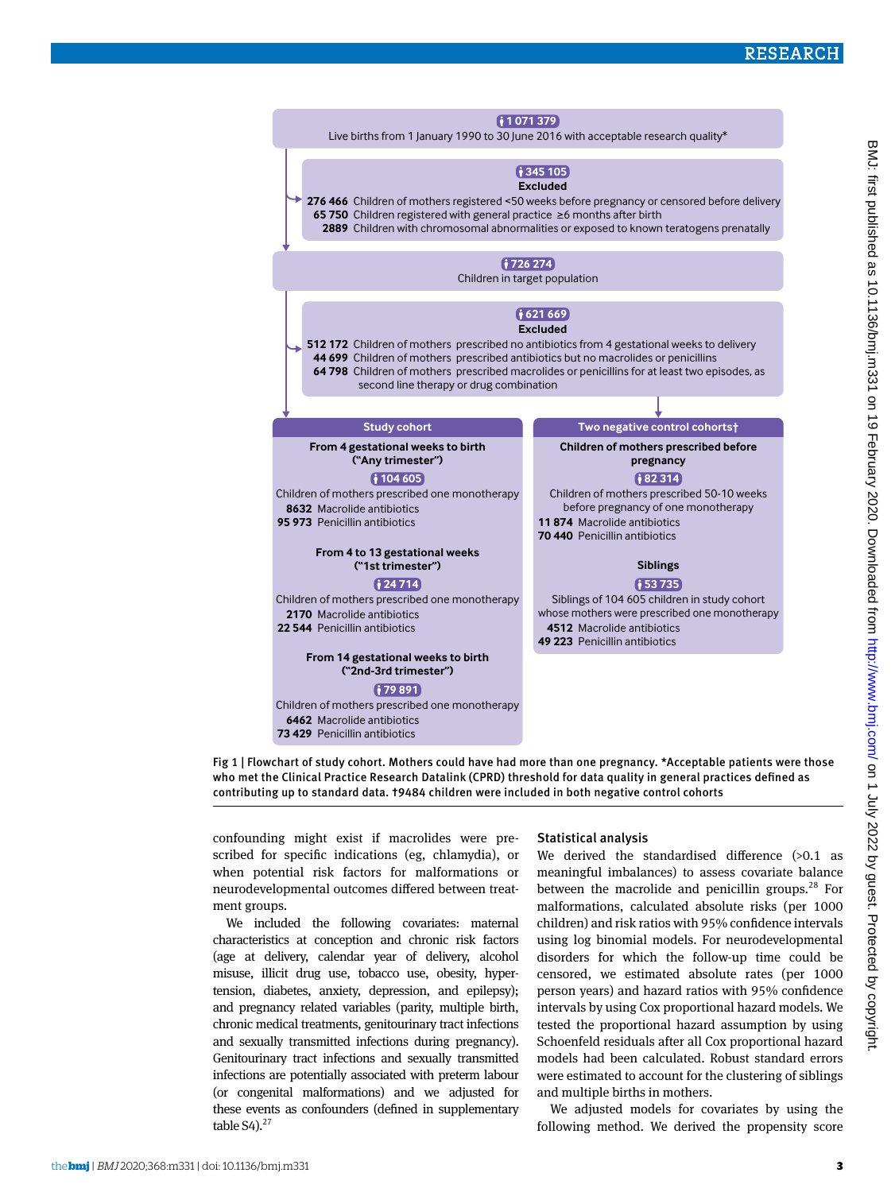

Fig 1 | Flowchart of study cohort. Mothers could have had more than one pregnancy. \*Acceptable patients were those who met the Clinical Practice Research Datalink (CPRD) threshold for data quality in general practices defined as contributing up to standard data. †9484 children were included in both negative control cohorts

confounding might exist if macrolides were prescribed for specific indications (eg, chlamydia), or when potential risk factors for malformations or neurodevelopmental outcomes differed between treatment groups.

We included the following covariates: maternal characteristics at conception and chronic risk factors (age at delivery, calendar year of delivery, alcohol misuse, illicit drug use, tobacco use, obesity, hypertension, diabetes, anxiety, depression, and epilepsy); and pregnancy related variables (parity, multiple birth, chronic medical treatments, genitourinary tract infections and sexually transmitted infections during pregnancy). Genitourinary tract infections and sexually transmitted infections are potentially associated with preterm labour (or congenital malformations) and we adjusted for these events as confounders (defined in supplementary table  $S4$ ).<sup>27</sup>

## Statistical analysis

We derived the standardised difference (>0.1 as meaningful imbalances) to assess covariate balance between the macrolide and penicillin groups. $28$  For malformations, calculated absolute risks (per 1000 children) and risk ratios with 95% confidence intervals using log binomial models. For neurodevelopmental disorders for which the follow-up time could be censored, we estimated absolute rates (per 1000 person years) and hazard ratios with 95% confidence intervals by using Cox proportional hazard models. We tested the proportional hazard assumption by using Schoenfeld residuals after all Cox proportional hazard models had been calculated. Robust standard errors were estimated to account for the clustering of siblings and multiple births in mothers.

We adjusted models for covariates by using the following method. We derived the propensity score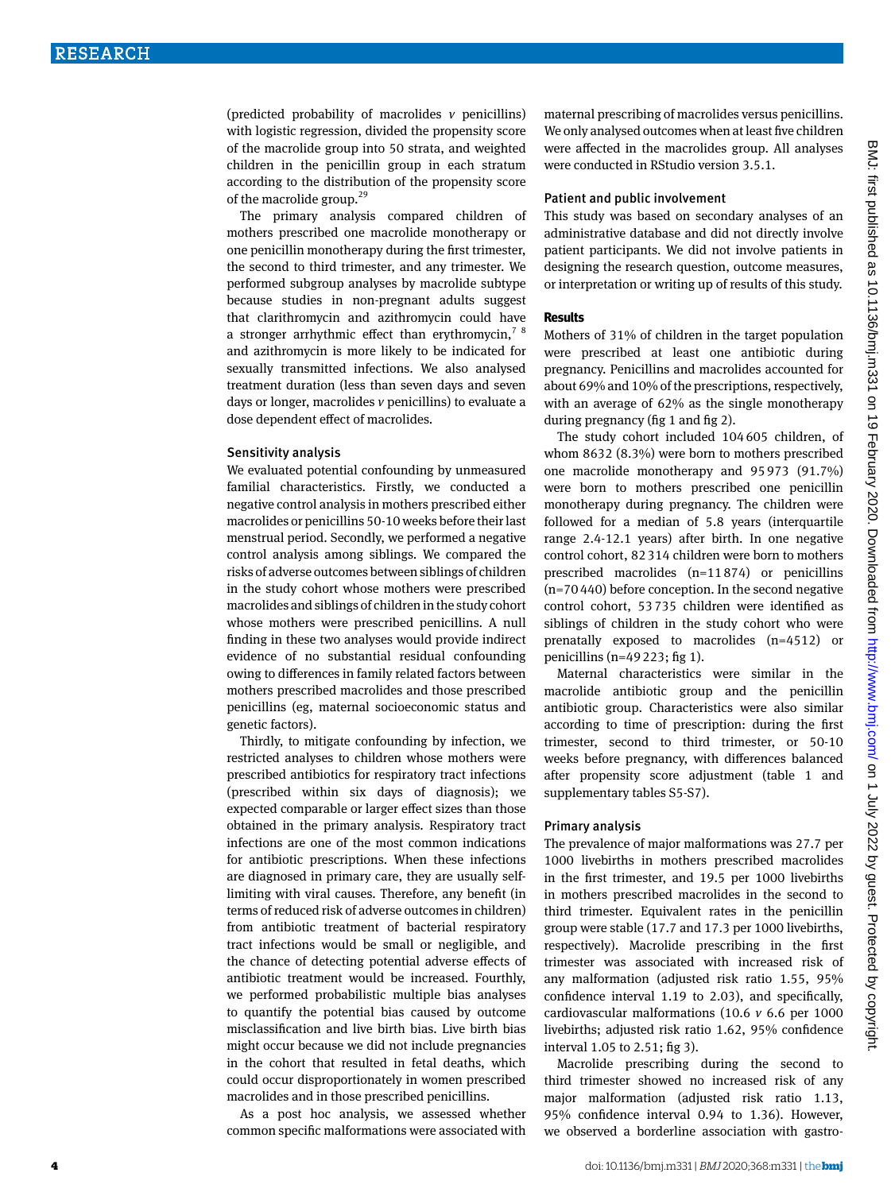(predicted probability of macrolides *v* penicillins) with logistic regression, divided the propensity score of the macrolide group into 50 strata, and weighted children in the penicillin group in each stratum according to the distribution of the propensity score of the macrolide group.<sup>29</sup>

The primary analysis compared children of mothers prescribed one macrolide monotherapy or one penicillin monotherapy during the first trimester, the second to third trimester, and any trimester. We performed subgroup analyses by macrolide subtype because studies in non-pregnant adults suggest that clarithromycin and azithromycin could have a stronger arrhythmic effect than erythromycin,<sup>7</sup>  $8$ and azithromycin is more likely to be indicated for sexually transmitted infections. We also analysed treatment duration (less than seven days and seven days or longer, macrolides *v* penicillins) to evaluate a dose dependent effect of macrolides.

#### Sensitivity analysis

We evaluated potential confounding by unmeasured familial characteristics. Firstly, we conducted a negative control analysis in mothers prescribed either macrolides or penicillins 50-10 weeks before their last menstrual period. Secondly, we performed a negative control analysis among siblings. We compared the risks of adverse outcomes between siblings of children in the study cohort whose mothers were prescribed macrolides and siblings of children in the study cohort whose mothers were prescribed penicillins. A null finding in these two analyses would provide indirect evidence of no substantial residual confounding owing to differences in family related factors between mothers prescribed macrolides and those prescribed penicillins (eg, maternal socioeconomic status and genetic factors).

Thirdly, to mitigate confounding by infection, we restricted analyses to children whose mothers were prescribed antibiotics for respiratory tract infections (prescribed within six days of diagnosis); we expected comparable or larger effect sizes than those obtained in the primary analysis. Respiratory tract infections are one of the most common indications for antibiotic prescriptions. When these infections are diagnosed in primary care, they are usually selflimiting with viral causes. Therefore, any benefit (in terms of reduced risk of adverse outcomes in children) from antibiotic treatment of bacterial respiratory tract infections would be small or negligible, and the chance of detecting potential adverse effects of antibiotic treatment would be increased. Fourthly, we performed probabilistic multiple bias analyses to quantify the potential bias caused by outcome misclassification and live birth bias. Live birth bias might occur because we did not include pregnancies in the cohort that resulted in fetal deaths, which could occur disproportionately in women prescribed macrolides and in those prescribed penicillins.

As a post hoc analysis, we assessed whether common specific malformations were associated with maternal prescribing of macrolides versus penicillins. We only analysed outcomes when at least five children were affected in the macrolides group. All analyses were conducted in RStudio version 3.5.1.

#### Patient and public involvement

This study was based on secondary analyses of an administrative database and did not directly involve patient participants. We did not involve patients in designing the research question, outcome measures, or interpretation or writing up of results of this study.

#### **Results**

Mothers of 31% of children in the target population were prescribed at least one antibiotic during pregnancy. Penicillins and macrolides accounted for about 69% and 10% of the prescriptions, respectively, with an average of 62% as the single monotherapy during pregnancy (fig 1 and fig 2).

The study cohort included 104605 children, of whom 8632 (8.3%) were born to mothers prescribed one macrolide monotherapy and 95973 (91.7%) were born to mothers prescribed one penicillin monotherapy during pregnancy. The children were followed for a median of 5.8 years (interquartile range 2.4-12.1 years) after birth. In one negative control cohort, 82314 children were born to mothers prescribed macrolides (n=11874) or penicillins (n=70440) before conception. In the second negative control cohort, 53735 children were identified as siblings of children in the study cohort who were prenatally exposed to macrolides (n=4512) or penicillins (n=49223; fig 1).

Maternal characteristics were similar in the macrolide antibiotic group and the penicillin antibiotic group. Characteristics were also similar according to time of prescription: during the first trimester, second to third trimester, or 50-10 weeks before pregnancy, with differences balanced after propensity score adjustment (table 1 and supplementary tables S5-S7).

## Primary analysis

The prevalence of major malformations was 27.7 per 1000 livebirths in mothers prescribed macrolides in the first trimester, and 19.5 per 1000 livebirths in mothers prescribed macrolides in the second to third trimester. Equivalent rates in the penicillin group were stable (17.7 and 17.3 per 1000 livebirths, respectively). Macrolide prescribing in the first trimester was associated with increased risk of any malformation (adjusted risk ratio 1.55, 95% confidence interval 1.19 to 2.03), and specifically, cardiovascular malformations (10.6 *v* 6.6 per 1000 livebirths; adjusted risk ratio 1.62, 95% confidence interval 1.05 to 2.51; fig 3).

Macrolide prescribing during the second to third trimester showed no increased risk of any major malformation (adjusted risk ratio 1.13, 95% confidence interval 0.94 to 1.36). However, we observed a borderline association with gastro-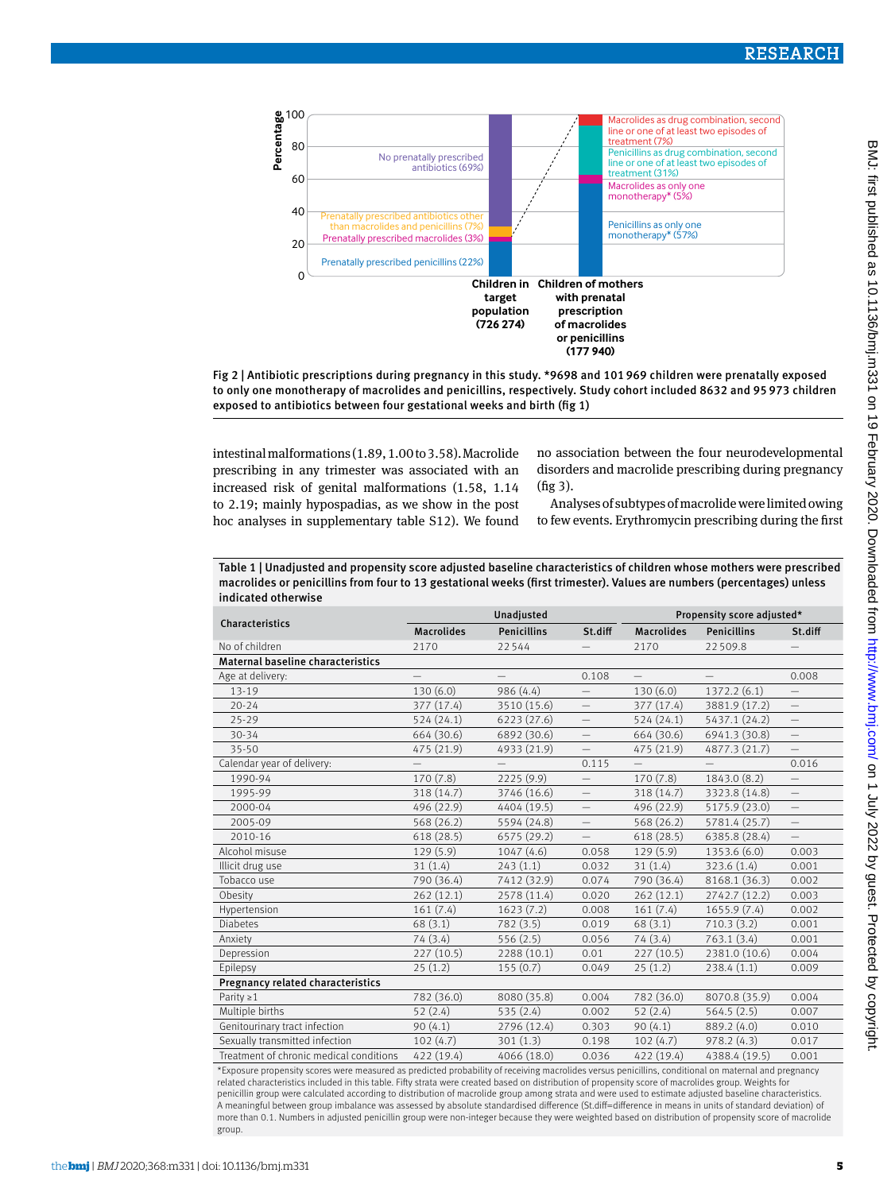

Fig 2 | Antibiotic prescriptions during pregnancy in this study. \*9698 and 101 969 children were prenatally exposed to only one monotherapy of macrolides and penicillins, respectively. Study cohort included 8632 and 95 973 children exposed to antibiotics between four gestational weeks and birth (fig 1)

intestinal malformations (1.89, 1.00 to 3.58). Macrolide prescribing in any trimester was associated with an increased risk of genital malformations (1.58, 1.14 to 2.19; mainly hypospadias, as we show in the post hoc analyses in supplementary table S12). We found no association between the four neurodevelopmental disorders and macrolide prescribing during pregnancy (fig 3).

Analyses of subtypes of macrolide were limited owing to few events. Erythromycin prescribing during the first

Table 1 | Unadjusted and propensity score adjusted baseline characteristics of children whose mothers were prescribed macrolides or penicillins from four to 13 gestational weeks (first trimester). Values are numbers (percentages) unless indicated otherwise

| Characteristics                         |                   | Unadjusted         |                          | Propensity score adjusted* |                    |                          |
|-----------------------------------------|-------------------|--------------------|--------------------------|----------------------------|--------------------|--------------------------|
|                                         | <b>Macrolides</b> | <b>Penicillins</b> | St.diff                  | <b>Macrolides</b>          | <b>Penicillins</b> | St.diff                  |
| No of children                          | 2170              | 22544              |                          | 2170                       | 22509.8            |                          |
| Maternal baseline characteristics       |                   |                    |                          |                            |                    |                          |
| Age at delivery:                        |                   |                    | 0.108                    | $\overline{\phantom{0}}$   |                    | 0.008                    |
| 13-19                                   | 130 (6.0)         | 986 (4.4)          |                          | 130(6.0)                   | 1372.2 (6.1)       | $\overline{\phantom{0}}$ |
| $20 - 24$                               | 377 (17.4)        | 3510 (15.6)        | $\qquad \qquad -$        | 377 (17.4)                 | 3881.9 (17.2)      | $\qquad \qquad -$        |
| $25 - 29$                               | 524(24.1)         | 6223 (27.6)        | $\qquad \qquad -$        | 524(24.1)                  | 5437.1 (24.2)      | $\overline{\phantom{0}}$ |
| $30 - 34$                               | 664 (30.6)        | 6892 (30.6)        | $\qquad \qquad -$        | 664 (30.6)                 | 6941.3 (30.8)      | $\overline{\phantom{0}}$ |
| $35 - 50$                               | 475 (21.9)        | 4933 (21.9)        | $\overline{\phantom{m}}$ | 475 (21.9)                 | 4877.3 (21.7)      | $\equiv$                 |
| Calendar year of delivery:              |                   |                    | 0.115                    |                            |                    | 0.016                    |
| 1990-94                                 | 170(7.8)          | 2225(9.9)          | $\qquad \qquad -$        | 170 (7.8)                  | 1843.0 (8.2)       | $\overline{\phantom{0}}$ |
| 1995-99                                 | 318 (14.7)        | 3746 (16.6)        | $\qquad \qquad -$        | 318 (14.7)                 | 3323.8 (14.8)      | $\equiv$                 |
| 2000-04                                 | 496 (22.9)        | 4404 (19.5)        | $\qquad \qquad -$        | 496 (22.9)                 | 5175.9 (23.0)      | $\overline{\phantom{0}}$ |
| 2005-09                                 | 568 (26.2)        | 5594 (24.8)        | $\overline{\phantom{m}}$ | 568 (26.2)                 | 5781.4 (25.7)      | $\qquad \qquad -$        |
| 2010-16                                 | 618(28.5)         | 6575 (29.2)        | $\qquad \qquad -$        | 618(28.5)                  | 6385.8 (28.4)      | $\qquad \qquad -$        |
| Alcohol misuse                          | 129(5.9)          | 1047(4.6)          | 0.058                    | 129(5.9)                   | 1353.6 (6.0)       | 0.003                    |
| Illicit drug use                        | 31(1.4)           | 243(1.1)           | 0.032                    | 31(1.4)                    | 323.6(1.4)         | 0.001                    |
| Tobacco use                             | 790 (36.4)        | 7412 (32.9)        | 0.074                    | 790 (36.4)                 | 8168.1 (36.3)      | 0.002                    |
| Obesity                                 | 262(12.1)         | 2578 (11.4)        | 0.020                    | 262(12.1)                  | 2742.7 (12.2)      | 0.003                    |
| Hypertension                            | 161(7.4)          | 1623(7.2)          | 0.008                    | 161(7.4)                   | 1655.9 (7.4)       | 0.002                    |
| <b>Diabetes</b>                         | 68(3.1)           | 782(3.5)           | 0.019                    | 68(3.1)                    | 710.3(3.2)         | 0.001                    |
| Anxiety                                 | 74 (3.4)          | 556(2.5)           | 0.056                    | 74(3.4)                    | 763.1(3.4)         | 0.001                    |
| Depression                              | 227 (10.5)        | 2288 (10.1)        | 0.01                     | 227(10.5)                  | 2381.0 (10.6)      | 0.004                    |
| Epilepsy                                | 25(1.2)           | 155(0.7)           | 0.049                    | 25(1.2)                    | 238.4(1.1)         | 0.009                    |
| Pregnancy related characteristics       |                   |                    |                          |                            |                    |                          |
| Parity $\geq 1$                         | 782 (36.0)        | 8080 (35.8)        | 0.004                    | 782 (36.0)                 | 8070.8 (35.9)      | 0.004                    |
| Multiple births                         | 52(2.4)           | 535(2.4)           | 0.002                    | 52(2.4)                    | 564.5(2.5)         | 0.007                    |
| Genitourinary tract infection           | 90(4.1)           | 2796 (12.4)        | 0.303                    | 90(4.1)                    | 889.2 (4.0)        | 0.010                    |
| Sexually transmitted infection          | 102(4.7)          | 301(1.3)           | 0.198                    | 102(4.7)                   | 978.2(4.3)         | 0.017                    |
| Treatment of chronic medical conditions | 422 (19.4)        | 4066 (18.0)        | 0.036                    | 422 (19.4)                 | 4388.4 (19.5)      | 0.001                    |

\*Exposure propensity scores were measured as predicted probability of receiving macrolides versus penicillins, conditional on maternal and pregnancy related characteristics included in this table. Fifty strata were created based on distribution of propensity score of macrolides group. Weights for penicillin group were calculated according to distribution of macrolide group among strata and were used to estimate adjusted baseline characteristics. A meaningful between group imbalance was assessed by absolute standardised difference (St.diff=difference in means in units of standard deviation) of more than 0.1. Numbers in adjusted penicillin group were non-integer because they were weighted based on distribution of propensity score of macrolide group.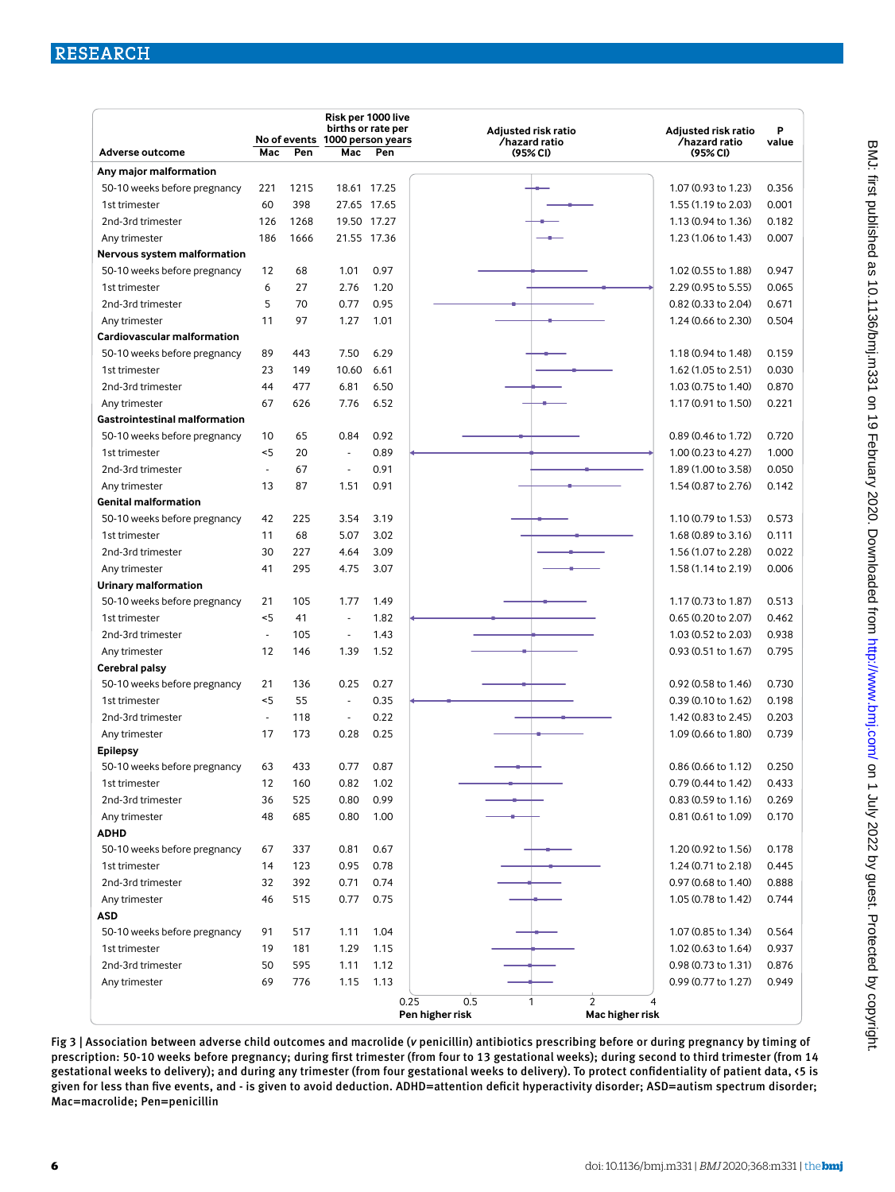|                                      |           |      | Risk per 1000 live             |                    |                                                             |                                      |            |
|--------------------------------------|-----------|------|--------------------------------|--------------------|-------------------------------------------------------------|--------------------------------------|------------|
|                                      |           |      | No of events 1000 person years | births or rate per | Adjusted risk ratio<br>/hazard ratio                        | Adjusted risk ratio<br>/hazard ratio | P<br>value |
| <b>Adverse outcome</b>               | Mac       | Pen  | Mac                            | Pen                | (95% CI)                                                    | (95% CI)                             |            |
| Any major malformation               |           |      |                                |                    |                                                             |                                      |            |
| 50-10 weeks before pregnancy         | 221       | 1215 | 18.61 17.25                    |                    |                                                             | 1.07 (0.93 to 1.23)                  | 0.356      |
| 1st trimester                        | 60        | 398  | 27.65 17.65                    |                    |                                                             | 1.55 (1.19 to 2.03)                  | 0.001      |
| 2nd-3rd trimester                    | 126       | 1268 | 19.50 17.27                    |                    |                                                             | 1.13 (0.94 to 1.36)                  | 0.182      |
| Any trimester                        | 186       | 1666 | 21.55 17.36                    |                    |                                                             | 1.23 (1.06 to 1.43)                  | 0.007      |
| Nervous system malformation          |           |      |                                |                    |                                                             |                                      |            |
| 50-10 weeks before pregnancy         | 12        | 68   | 1.01                           | 0.97               |                                                             | 1.02 (0.55 to 1.88)                  | 0.947      |
| 1st trimester                        | 6         | 27   | 2.76                           | 1.20               |                                                             | 2.29 (0.95 to 5.55)                  | 0.065      |
| 2nd-3rd trimester                    | 5         | 70   | 0.77                           | 0.95               |                                                             | 0.82 (0.33 to 2.04)                  | 0.671      |
| Any trimester                        | 11        | 97   | 1.27                           | 1.01               |                                                             | 1.24 (0.66 to 2.30)                  | 0.504      |
| Cardiovascular malformation          |           |      |                                |                    |                                                             |                                      |            |
| 50-10 weeks before pregnancy         | 89        | 443  | 7.50                           | 6.29               |                                                             | 1.18 (0.94 to 1.48)                  | 0.159      |
| 1st trimester                        | 23        | 149  | 10.60                          | 6.61               |                                                             | 1.62 (1.05 to 2.51)                  | 0.030      |
| 2nd-3rd trimester                    | 44        | 477  | 6.81                           | 6.50               |                                                             | 1.03 (0.75 to 1.40)                  | 0.870      |
| Any trimester                        | 67        | 626  | 7.76                           | 6.52               |                                                             | 1.17 (0.91 to 1.50)                  | 0.221      |
| <b>Gastrointestinal malformation</b> |           |      |                                |                    |                                                             |                                      |            |
| 50-10 weeks before pregnancy         | 10        | 65   | 0.84                           | 0.92               |                                                             | 0.89 (0.46 to 1.72)                  | 0.720      |
| 1st trimester                        | <5        | 20   | $\omega$                       | 0.89               |                                                             | 1.00 (0.23 to 4.27)                  | 1.000      |
| 2nd-3rd trimester                    | $\bar{a}$ | 67   | $\sim$                         | 0.91               |                                                             | 1.89 (1.00 to 3.58)                  | 0.050      |
| Any trimester                        | 13        | 87   | 1.51                           | 0.91               |                                                             | 1.54 (0.87 to 2.76)                  | 0.142      |
| <b>Genital malformation</b>          |           |      |                                |                    |                                                             |                                      |            |
| 50-10 weeks before pregnancy         | 42        | 225  | 3.54                           | 3.19               |                                                             | 1.10 (0.79 to 1.53)                  | 0.573      |
| 1st trimester                        | 11        | 68   | 5.07                           | 3.02               |                                                             | 1.68 (0.89 to 3.16)                  | 0.111      |
| 2nd-3rd trimester                    | 30        | 227  | 4.64                           | 3.09               |                                                             | 1.56 (1.07 to 2.28)                  | 0.022      |
| Any trimester                        | 41        | 295  | 4.75                           | 3.07               |                                                             | 1.58 (1.14 to 2.19)                  | 0.006      |
| <b>Urinary malformation</b>          |           |      |                                |                    |                                                             |                                      |            |
| 50-10 weeks before pregnancy         | 21        | 105  | 1.77                           | 1.49               |                                                             | 1.17 (0.73 to 1.87)                  | 0.513      |
| 1st trimester                        | $<$ 5     | 41   | $\overline{\phantom{a}}$       | 1.82               |                                                             | 0.65 (0.20 to 2.07)                  | 0.462      |
| 2nd-3rd trimester                    | ÷.        | 105  | $\overline{\phantom{a}}$       | 1.43               |                                                             | 1.03 (0.52 to 2.03)                  | 0.938      |
| Any trimester                        | 12        | 146  | 1.39                           | 1.52               |                                                             | 0.93 (0.51 to 1.67)                  | 0.795      |
| Cerebral palsy                       |           |      |                                |                    |                                                             |                                      |            |
| 50-10 weeks before pregnancy         | 21        | 136  | 0.25                           | 0.27               |                                                             | 0.92 (0.58 to 1.46)                  | 0.730      |
| 1st trimester                        | $<$ 5     | 55   | $\omega$                       | 0.35               |                                                             | 0.39 (0.10 to 1.62)                  | 0.198      |
| 2nd-3rd trimester                    | $\bar{a}$ | 118  | $\overline{\phantom{a}}$       | 0.22               |                                                             | 1.42 (0.83 to 2.45)                  | 0.203      |
| Any trimester                        | 17        | 173  | 0.28                           | 0.25               |                                                             | 1.09 (0.66 to 1.80)                  | 0.739      |
| <b>Epilepsy</b>                      |           |      |                                |                    |                                                             |                                      |            |
| 50-10 weeks before pregnancy         | 63        | 433  | 0.77                           | 0.87               |                                                             | 0.86 (0.66 to 1.12)                  | 0.250      |
| 1st trimester                        | 12        | 160  | 0.82                           | 1.02               |                                                             | 0.79 (0.44 to 1.42)                  | 0.433      |
| 2nd-3rd trimester                    | 36        | 525  | 0.80                           | 0.99               |                                                             | 0.83 (0.59 to 1.16)                  | 0.269      |
| Any trimester                        | 48        | 685  | 0.80                           | 1.00               |                                                             | 0.81 (0.61 to 1.09)                  | 0.170      |
| ADHD                                 |           |      |                                |                    |                                                             |                                      |            |
| 50-10 weeks before pregnancy         | 67        | 337  | 0.81                           | 0.67               |                                                             | 1.20 (0.92 to 1.56)                  | 0.178      |
| 1st trimester                        | 14        | 123  | 0.95                           | 0.78               |                                                             | 1.24 (0.71 to 2.18)                  | 0.445      |
| 2nd-3rd trimester                    | 32        | 392  | 0.71                           | 0.74               |                                                             | 0.97 (0.68 to 1.40)                  | 0.888      |
| Any trimester                        | 46        | 515  | 0.77                           | 0.75               |                                                             | 1.05 (0.78 to 1.42)                  | 0.744      |
| ASD                                  |           |      |                                |                    |                                                             |                                      |            |
| 50-10 weeks before pregnancy         | 91        | 517  | 1.11                           | 1.04               |                                                             | 1.07 (0.85 to 1.34)                  | 0.564      |
| 1st trimester                        | 19        | 181  | 1.29                           | 1.15               |                                                             | 1.02 (0.63 to 1.64)                  | 0.937      |
| 2nd-3rd trimester                    | 50        | 595  | 1.11                           | 1.12               |                                                             | 0.98 (0.73 to 1.31)                  | 0.876      |
| Any trimester                        | 69        | 776  | 1.15                           | 1.13               |                                                             | 0.99 (0.77 to 1.27)                  | 0.949      |
|                                      |           |      |                                |                    | 0.5<br>0.25<br>1<br>2<br>Pen higher risk<br>Mac higher risk |                                      |            |

Fig 3 | Association between adverse child outcomes and macrolide (*v* penicillin) antibiotics prescribing before or during pregnancy by timing of prescription: 50-10 weeks before pregnancy; during first trimester (from four to 13 gestational weeks); during second to third trimester (from 14 gestational weeks to delivery); and during any trimester (from four gestational weeks to delivery). To protect confidentiality of patient data, <5 is given for less than five events, and - is given to avoid deduction. ADHD=attention deficit hyperactivity disorder; ASD=autism spectrum disorder; Mac=macrolide; Pen=penicillin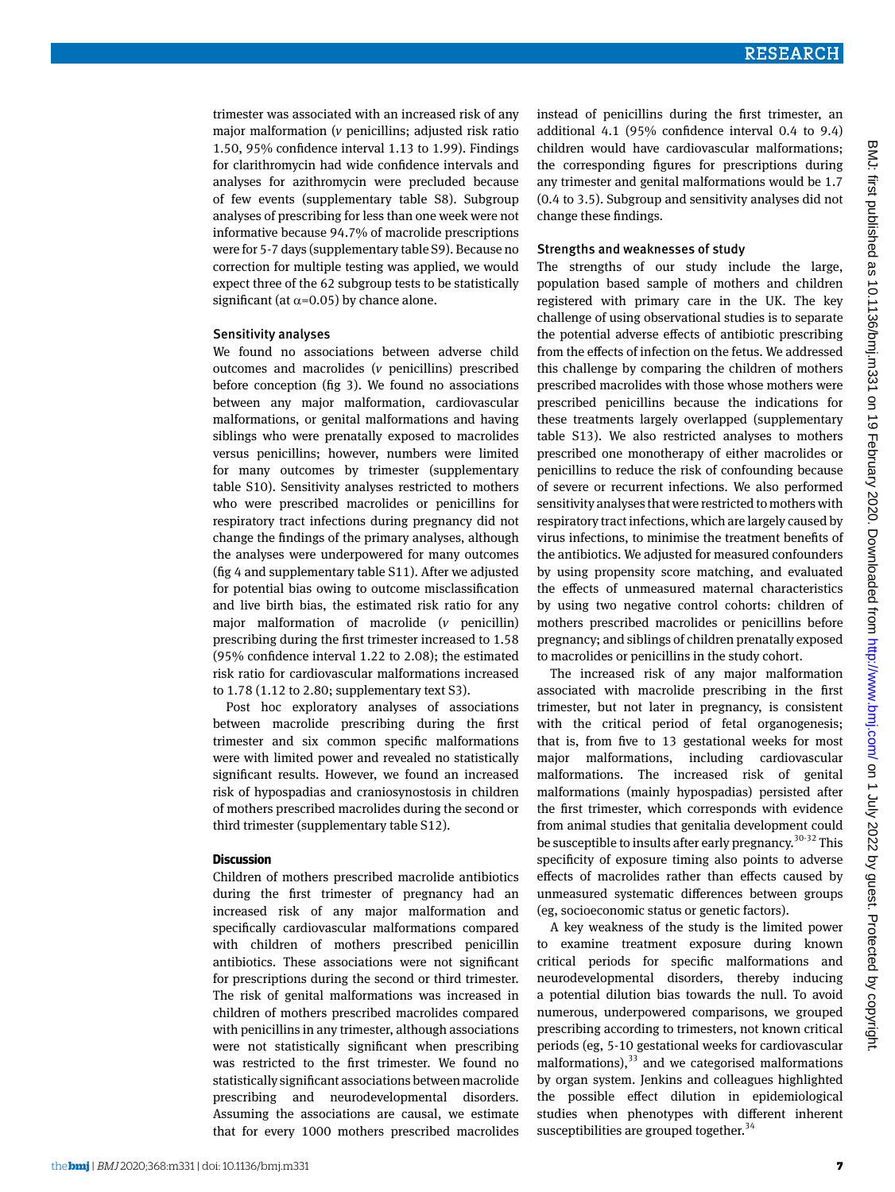trimester was associated with an increased risk of any major malformation (*v* penicillins; adjusted risk ratio 1.50, 95% confidence interval 1.13 to 1.99). Findings for clarithromycin had wide confidence intervals and analyses for azithromycin were precluded because of few events (supplementary table S8). Subgroup analyses of prescribing for less than one week were not informative because 94.7% of macrolide prescriptions were for 5-7 days (supplementary table S9). Because no correction for multiple testing was applied, we would expect three of the 62 subgroup tests to be statistically significant (at  $\alpha$ =0.05) by chance alone.

#### Sensitivity analyses

We found no associations between adverse child outcomes and macrolides (*v* penicillins) prescribed before conception (fig 3). We found no associations between any major malformation, cardiovascular malformations, or genital malformations and having siblings who were prenatally exposed to macrolides versus penicillins; however, numbers were limited for many outcomes by trimester (supplementary table S10). Sensitivity analyses restricted to mothers who were prescribed macrolides or penicillins for respiratory tract infections during pregnancy did not change the findings of the primary analyses, although the analyses were underpowered for many outcomes (fig 4 and supplementary table S11). After we adjusted for potential bias owing to outcome misclassification and live birth bias, the estimated risk ratio for any major malformation of macrolide (*v* penicillin) prescribing during the first trimester increased to 1.58 (95% confidence interval 1.22 to 2.08); the estimated risk ratio for cardiovascular malformations increased to 1.78 (1.12 to 2.80; supplementary text S3).

Post hoc exploratory analyses of associations between macrolide prescribing during the first trimester and six common specific malformations were with limited power and revealed no statistically significant results. However, we found an increased risk of hypospadias and craniosynostosis in children of mothers prescribed macrolides during the second or third trimester (supplementary table S12).

#### **Discussion**

Children of mothers prescribed macrolide antibiotics during the first trimester of pregnancy had an increased risk of any major malformation and specifically cardiovascular malformations compared with children of mothers prescribed penicillin antibiotics. These associations were not significant for prescriptions during the second or third trimester. The risk of genital malformations was increased in children of mothers prescribed macrolides compared with penicillins in any trimester, although associations were not statistically significant when prescribing was restricted to the first trimester. We found no statistically significant associations between macrolide prescribing and neurodevelopmental disorders. Assuming the associations are causal, we estimate that for every 1000 mothers prescribed macrolides instead of penicillins during the first trimester, an additional 4.1 (95% confidence interval 0.4 to 9.4) children would have cardiovascular malformations; the corresponding figures for prescriptions during any trimester and genital malformations would be 1.7 (0.4 to 3.5). Subgroup and sensitivity analyses did not change these findings.

#### Strengths and weaknesses of study

The strengths of our study include the large, population based sample of mothers and children registered with primary care in the UK. The key challenge of using observational studies is to separate the potential adverse effects of antibiotic prescribing from the effects of infection on the fetus. We addressed this challenge by comparing the children of mothers prescribed macrolides with those whose mothers were prescribed penicillins because the indications for these treatments largely overlapped (supplementary table S13). We also restricted analyses to mothers prescribed one monotherapy of either macrolides or penicillins to reduce the risk of confounding because of severe or recurrent infections. We also performed sensitivity analyses that were restricted to mothers with respiratory tract infections, which are largely caused by virus infections, to minimise the treatment benefits of the antibiotics. We adjusted for measured confounders by using propensity score matching, and evaluated the effects of unmeasured maternal characteristics by using two negative control cohorts: children of mothers prescribed macrolides or penicillins before pregnancy; and siblings of children prenatally exposed to macrolides or penicillins in the study cohort.

The increased risk of any major malformation associated with macrolide prescribing in the first trimester, but not later in pregnancy, is consistent with the critical period of fetal organogenesis; that is, from five to 13 gestational weeks for most major malformations, including cardiovascular malformations. The increased risk of genital malformations (mainly hypospadias) persisted after the first trimester, which corresponds with evidence from animal studies that genitalia development could be susceptible to insults after early pregnancy.<sup>30-32</sup> This specificity of exposure timing also points to adverse effects of macrolides rather than effects caused by unmeasured systematic differences between groups (eg, socioeconomic status or genetic factors).

A key weakness of the study is the limited power to examine treatment exposure during known critical periods for specific malformations and neurodevelopmental disorders, thereby inducing a potential dilution bias towards the null. To avoid numerous, underpowered comparisons, we grouped prescribing according to trimesters, not known critical periods (eg, 5-10 gestational weeks for cardiovascular malformations), $33$  and we categorised malformations by organ system. Jenkins and colleagues highlighted the possible effect dilution in epidemiological studies when phenotypes with different inherent susceptibilities are grouped together. $34$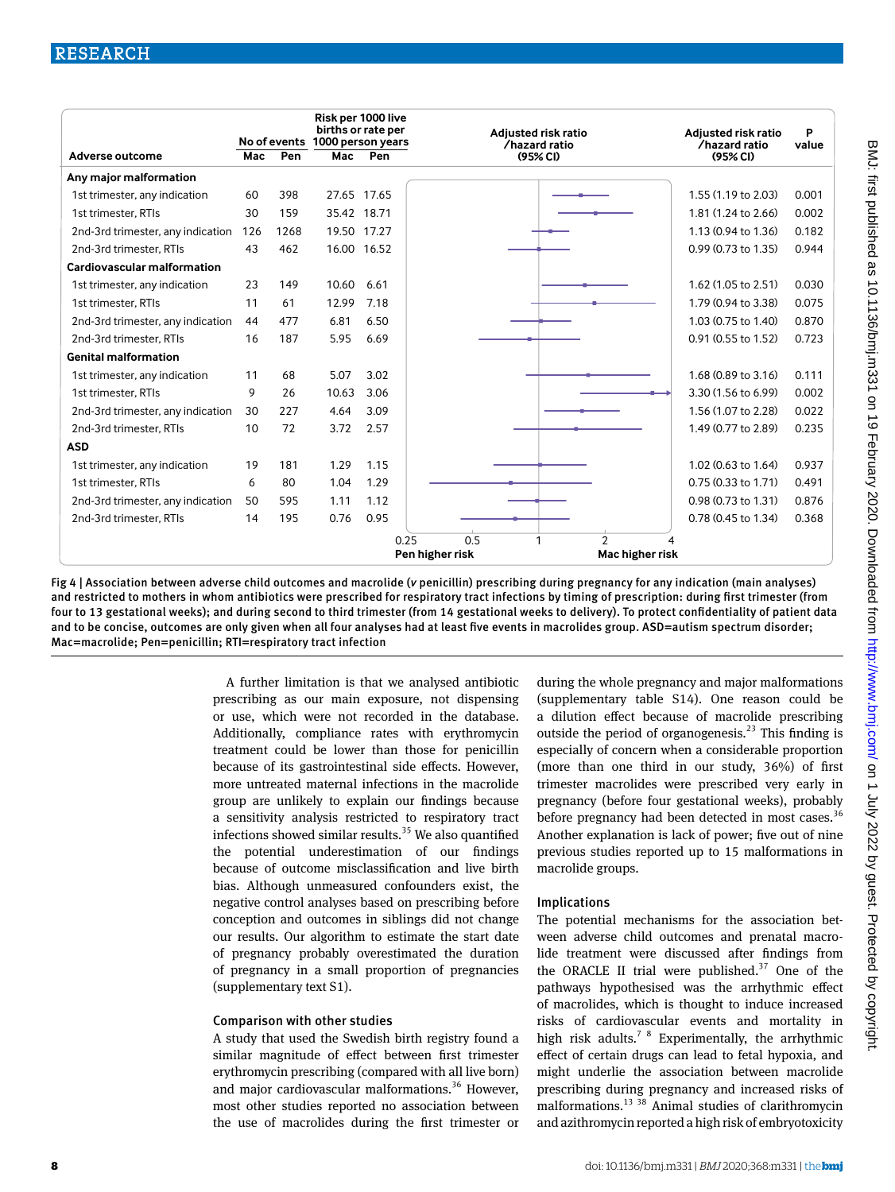|                                   |     | No of events | Risk per 1000 live<br>births or rate per<br>1000 person years |             | Adjusted risk ratio<br>/hazard ratio                                     | Adjusted risk ratio<br>/hazard ratio | P<br>value |
|-----------------------------------|-----|--------------|---------------------------------------------------------------|-------------|--------------------------------------------------------------------------|--------------------------------------|------------|
| Adverse outcome                   | Mac | Pen          | Mac                                                           | Pen         | (95% CI)                                                                 | (95% <sub>C</sub> )                  |            |
| Any major malformation            |     |              |                                                               |             |                                                                          |                                      |            |
| 1st trimester, any indication     | 60  | 398          |                                                               | 27.65 17.65 |                                                                          | 1.55 (1.19 to 2.03)                  | 0.001      |
| 1st trimester, RTIs               | 30  | 159          | 35.42 18.71                                                   |             |                                                                          | 1.81 (1.24 to 2.66)                  | 0.002      |
| 2nd-3rd trimester, any indication | 126 | 1268         |                                                               | 19.50 17.27 |                                                                          | 1.13 (0.94 to 1.36)                  | 0.182      |
| 2nd-3rd trimester, RTIs           | 43  | 462          |                                                               | 16.00 16.52 |                                                                          | 0.99 (0.73 to 1.35)                  | 0.944      |
| Cardiovascular malformation       |     |              |                                                               |             |                                                                          |                                      |            |
| 1st trimester, any indication     | 23  | 149          | 10.60                                                         | 6.61        |                                                                          | 1.62 (1.05 to 2.51)                  | 0.030      |
| 1st trimester, RTIs               | 11  | 61           | 12.99                                                         | 7.18        |                                                                          | 1.79 (0.94 to 3.38)                  | 0.075      |
| 2nd-3rd trimester, any indication | 44  | 477          | 6.81                                                          | 6.50        |                                                                          | 1.03 (0.75 to 1.40)                  | 0.870      |
| 2nd-3rd trimester, RTIs           | 16  | 187          | 5.95                                                          | 6.69        |                                                                          | 0.91 (0.55 to 1.52)                  | 0.723      |
| <b>Genital malformation</b>       |     |              |                                                               |             |                                                                          |                                      |            |
| 1st trimester, any indication     | 11  | 68           | 5.07                                                          | 3.02        |                                                                          | 1.68 (0.89 to 3.16)                  | 0.111      |
| 1st trimester, RTIs               | 9   | 26           | 10.63                                                         | 3.06        |                                                                          | 3.30 (1.56 to 6.99)                  | 0.002      |
| 2nd-3rd trimester, any indication | 30  | 227          | 4.64                                                          | 3.09        |                                                                          | 1.56 (1.07 to 2.28)                  | 0.022      |
| 2nd-3rd trimester, RTIs           | 10  | 72           | 3.72                                                          | 2.57        |                                                                          | 1.49 (0.77 to 2.89)                  | 0.235      |
| <b>ASD</b>                        |     |              |                                                               |             |                                                                          |                                      |            |
| 1st trimester, any indication     | 19  | 181          | 1.29                                                          | 1.15        |                                                                          | 1.02 (0.63 to 1.64)                  | 0.937      |
| 1st trimester, RTIs               | 6   | 80           | 1.04                                                          | 1.29        |                                                                          | 0.75 (0.33 to 1.71)                  | 0.491      |
| 2nd-3rd trimester, any indication | 50  | 595          | 1.11                                                          | 1.12        |                                                                          | 0.98 (0.73 to 1.31)                  | 0.876      |
| 2nd-3rd trimester, RTIs           | 14  | 195          | 0.76                                                          | 0.95        |                                                                          | 0.78 (0.45 to 1.34)                  | 0.368      |
|                                   |     |              |                                                               |             | $\mathfrak{p}$<br>0.5<br>0.25<br>4<br>Pen higher risk<br>Mac higher risk |                                      |            |

Fig 4 | Association between adverse child outcomes and macrolide (*v* penicillin) prescribing during pregnancy for any indication (main analyses) and restricted to mothers in whom antibiotics were prescribed for respiratory tract infections by timing of prescription: during first trimester (from four to 13 gestational weeks); and during second to third trimester (from 14 gestational weeks to delivery). To protect confidentiality of patient data and to be concise, outcomes are only given when all four analyses had at least five events in macrolides group. ASD=autism spectrum disorder; Mac=macrolide; Pen=penicillin; RTI=respiratory tract infection

> A further limitation is that we analysed antibiotic prescribing as our main exposure, not dispensing or use, which were not recorded in the database. Additionally, compliance rates with erythromycin treatment could be lower than those for penicillin because of its gastrointestinal side effects. However, more untreated maternal infections in the macrolide group are unlikely to explain our findings because a sensitivity analysis restricted to respiratory tract infections showed similar results.<sup>35</sup> We also quantified the potential underestimation of our findings because of outcome misclassification and live birth bias. Although unmeasured confounders exist, the negative control analyses based on prescribing before conception and outcomes in siblings did not change our results. Our algorithm to estimate the start date of pregnancy probably overestimated the duration of pregnancy in a small proportion of pregnancies (supplementary text S1).

## Comparison with other studies

A study that used the Swedish birth registry found a similar magnitude of effect between first trimester erythromycin prescribing (compared with all live born) and major cardiovascular malformations.36 However, most other studies reported no association between the use of macrolides during the first trimester or during the whole pregnancy and major malformations (supplementary table S14). One reason could be a dilution effect because of macrolide prescribing outside the period of organogenesis. $^{23}$  This finding is especially of concern when a considerable proportion (more than one third in our study, 36%) of first trimester macrolides were prescribed very early in pregnancy (before four gestational weeks), probably before pregnancy had been detected in most cases.<sup>3</sup> Another explanation is lack of power; five out of nine previous studies reported up to 15 malformations in macrolide groups.

## Implications

The potential mechanisms for the association between adverse child outcomes and prenatal macrolide treatment were discussed after findings from the ORACLE II trial were published. $37$  One of the pathways hypothesised was the arrhythmic effect of macrolides, which is thought to induce increased risks of cardiovascular events and mortality in high risk adults.<sup>7 8</sup> Experimentally, the arrhythmic effect of certain drugs can lead to fetal hypoxia, and might underlie the association between macrolide prescribing during pregnancy and increased risks of malformations.13 38 Animal studies of clarithromycin and azithromycin reported a high risk of embryotoxicity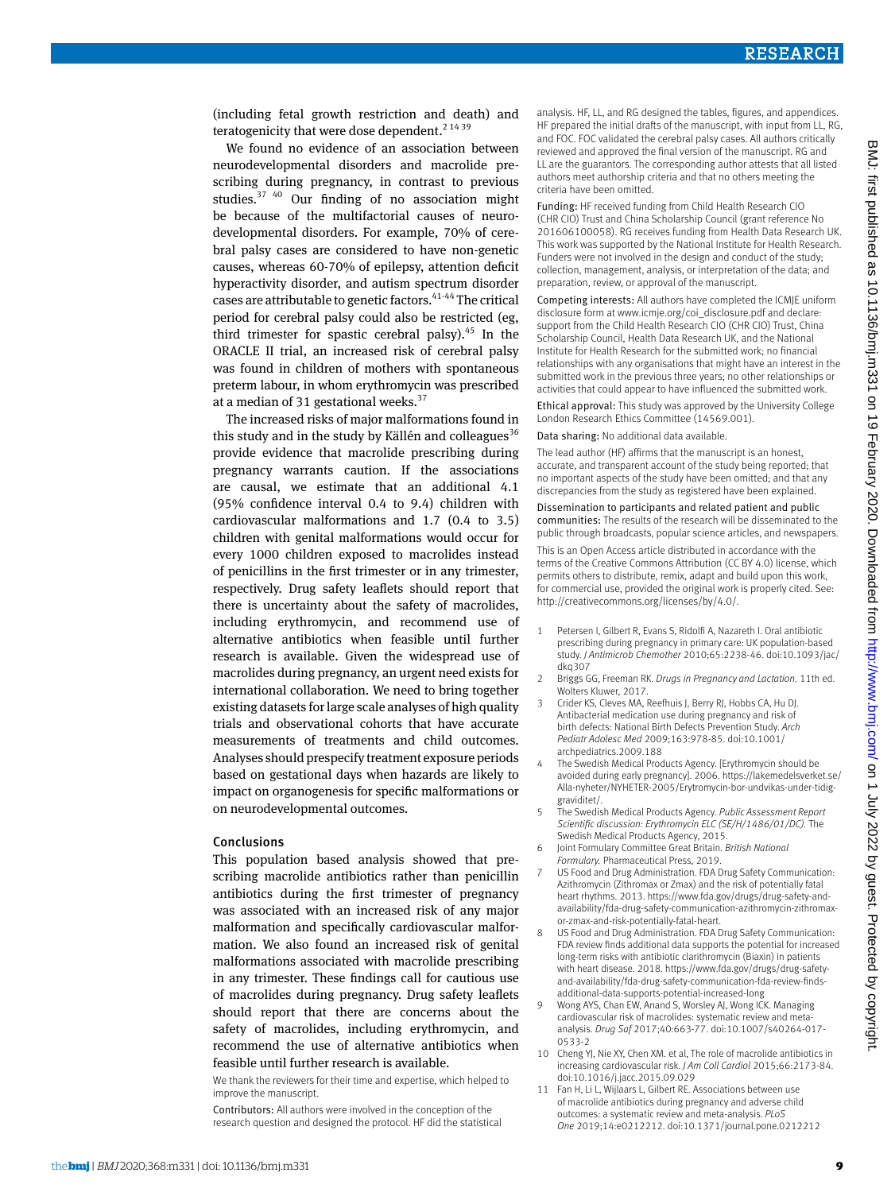(including fetal growth restriction and death) and teratogenicity that were dose dependent.<sup>2 14 39</sup>

We found no evidence of an association between neurodevelopmental disorders and macrolide prescribing during pregnancy, in contrast to previous studies. $37/40$  Our finding of no association might be because of the multifactorial causes of neurodevelopmental disorders. For example, 70% of cerebral palsy cases are considered to have non-genetic causes, whereas 60-70% of epilepsy, attention deficit hyperactivity disorder, and autism spectrum disorder cases are attributable to genetic factors.  $41-44$  The critical period for cerebral palsy could also be restricted (eg, third trimester for spastic cerebral palsy). $45$  In the ORACLE II trial, an increased risk of cerebral palsy was found in children of mothers with spontaneous preterm labour, in whom erythromycin was prescribed at a median of 31 gestational weeks. $37$ 

The increased risks of major malformations found in this study and in the study by Källén and colleagues<sup>36</sup> provide evidence that macrolide prescribing during pregnancy warrants caution. If the associations are causal, we estimate that an additional 4.1 (95% confidence interval 0.4 to 9.4) children with cardiovascular malformations and 1.7 (0.4 to 3.5) children with genital malformations would occur for every 1000 children exposed to macrolides instead of penicillins in the first trimester or in any trimester, respectively. Drug safety leaflets should report that there is uncertainty about the safety of macrolides, including erythromycin, and recommend use of alternative antibiotics when feasible until further research is available. Given the widespread use of macrolides during pregnancy, an urgent need exists for international collaboration. We need to bring together existing datasets for large scale analyses of high quality trials and observational cohorts that have accurate measurements of treatments and child outcomes. Analyses should prespecify treatment exposure periods based on gestational days when hazards are likely to impact on organogenesis for specific malformations or on neurodevelopmental outcomes.

#### Conclusions

This population based analysis showed that prescribing macrolide antibiotics rather than penicillin antibiotics during the first trimester of pregnancy was associated with an increased risk of any major malformation and specifically cardiovascular malformation. We also found an increased risk of genital malformations associated with macrolide prescribing in any trimester. These findings call for cautious use of macrolides during pregnancy. Drug safety leaflets should report that there are concerns about the safety of macrolides, including erythromycin, and recommend the use of alternative antibiotics when feasible until further research is available.

We thank the reviewers for their time and expertise, which helped to improve the manuscript.

Contributors: All authors were involved in the conception of the research question and designed the protocol. HF did the statistical analysis. HF, LL, and RG designed the tables, figures, and appendices. HF prepared the initial drafts of the manuscript, with input from LL, RG, and FOC. FOC validated the cerebral palsy cases. All authors critically reviewed and approved the final version of the manuscript. RG and LL are the guarantors. The corresponding author attests that all listed authors meet authorship criteria and that no others meeting the criteria have been omitted.

Funding: HF received funding from Child Health Research CIO (CHR CIO) Trust and China Scholarship Council (grant reference No 201606100058). RG receives funding from Health Data Research UK. This work was supported by the National Institute for Health Research. Funders were not involved in the design and conduct of the study; collection, management, analysis, or interpretation of the data; and preparation, review, or approval of the manuscript.

Competing interests: All authors have completed the ICMJE uniform disclosure form at [www.icmje.org/coi\\_disclosure.pdf](http://www.icmje.org/coi_disclosure.pdf) and declare: support from the Child Health Research CIO (CHR CIO) Trust, China Scholarship Council, Health Data Research UK, and the National Institute for Health Research for the submitted work; no financial relationships with any organisations that might have an interest in the submitted work in the previous three years; no other relationships or activities that could appear to have influenced the submitted work.

Ethical approval: This study was approved by the University College London Research Ethics Committee (14569.001).

Data sharing: No additional data available.

The lead author (HF) affirms that the manuscript is an honest, accurate, and transparent account of the study being reported; that no important aspects of the study have been omitted; and that any discrepancies from the study as registered have been explained.

Dissemination to participants and related patient and public communities: The results of the research will be disseminated to the public through broadcasts, popular science articles, and newspapers.

This is an Open Access article distributed in accordance with the terms of the Creative Commons Attribution (CC BY 4.0) license, which permits others to distribute, remix, adapt and build upon this work, for commercial use, provided the original work is properly cited. See: <http://creativecommons.org/licenses/by/4.0/>.

- 1 Petersen I, Gilbert R, Evans S, Ridolfi A, Nazareth I. Oral antibiotic prescribing during pregnancy in primary care: UK population-based study. *J Antimicrob Chemother* 2010;65:2238-46. doi:10.1093/jac/ dkq307
- 2 Briggs GG, Freeman RK. *Drugs in Pregnancy and Lactation.* 11th ed. Wolters Kluwer, 2017.
- 3 Crider KS, Cleves MA, Reefhuis J, Berry RJ, Hobbs CA, Hu DJ. Antibacterial medication use during pregnancy and risk of birth defects: National Birth Defects Prevention Study. *Arch Pediatr Adolesc Med* 2009;163:978-85. doi:10.1001/ archpediatrics.2009.188
- The Swedish Medical Products Agency. [Erythromycin should be avoided during early pregnancy]. 2006. [https://lakemedelsverket.se/](https://lakemedelsverket.se/Alla-nyheter/NYHETER-2005/Erytromycin-bor-undvikas-under-tidig-graviditet/) [Alla-nyheter/NYHETER-2005/Erytromycin-bor-undvikas-under-tidig](https://lakemedelsverket.se/Alla-nyheter/NYHETER-2005/Erytromycin-bor-undvikas-under-tidig-graviditet/)[graviditet/.](https://lakemedelsverket.se/Alla-nyheter/NYHETER-2005/Erytromycin-bor-undvikas-under-tidig-graviditet/)
- 5 The Swedish Medical Products Agency. *Public Assessment Report Scientific discussion: Erythromycin ELC (SE/H/1486/01/DC).* The Swedish Medical Products Agency, 2015.
- 6 Joint Formulary Committee Great Britain. *British National Formulary.* Pharmaceutical Press, 2019.
- US Food and Drug Administration. FDA Drug Safety Communication: Azithromycin (Zithromax or Zmax) and the risk of potentially fatal heart rhythms. 2013. [https://www.fda.gov/drugs/drug-safety-and](https://www.fda.gov/drugs/drug-safety-and-availability/fda-drug-safety-communication-azithromycin-zithromax-or-zmax-and-risk-potentially-fatal-heart)[availability/fda-drug-safety-communication-azithromycin-zithromax](https://www.fda.gov/drugs/drug-safety-and-availability/fda-drug-safety-communication-azithromycin-zithromax-or-zmax-and-risk-potentially-fatal-heart)[or-zmax-and-risk-potentially-fatal-heart.](https://www.fda.gov/drugs/drug-safety-and-availability/fda-drug-safety-communication-azithromycin-zithromax-or-zmax-and-risk-potentially-fatal-heart)
- 8 US Food and Drug Administration. FDA Drug Safety Communication: FDA review finds additional data supports the potential for increased long-term risks with antibiotic clarithromycin (Biaxin) in patients with heart disease. 2018. [https://www.fda.gov/drugs/drug-safety](https://www.fda.gov/drugs/drug-safety-and-availability/fda-drug-safety-communication-fda-review-finds-additional-data-supports-potential-increased-long)[and-availability/fda-drug-safety-communication-fda-review-finds](https://www.fda.gov/drugs/drug-safety-and-availability/fda-drug-safety-communication-fda-review-finds-additional-data-supports-potential-increased-long)[additional-data-supports-potential-increased-long](https://www.fda.gov/drugs/drug-safety-and-availability/fda-drug-safety-communication-fda-review-finds-additional-data-supports-potential-increased-long)
- Wong AYS, Chan EW, Anand S, Worsley AJ, Wong ICK. Managing cardiovascular risk of macrolides: systematic review and metaanalysis. *Drug Saf* 2017;40:663-77. doi:10.1007/s40264-017- 0533-2
- 10 Cheng YJ, Nie XY, Chen XM. et al, The role of macrolide antibiotics in increasing cardiovascular risk. *J Am Coll Cardiol* 2015;66:2173-84. doi:10.1016/j.jacc.2015.09.029
- 11 Fan H, Li L, Wijlaars L, Gilbert RE. Associations between use of macrolide antibiotics during pregnancy and adverse child outcomes: a systematic review and meta-analysis. *PLoS One* 2019;14:e0212212. doi:10.1371/journal.pone.0212212